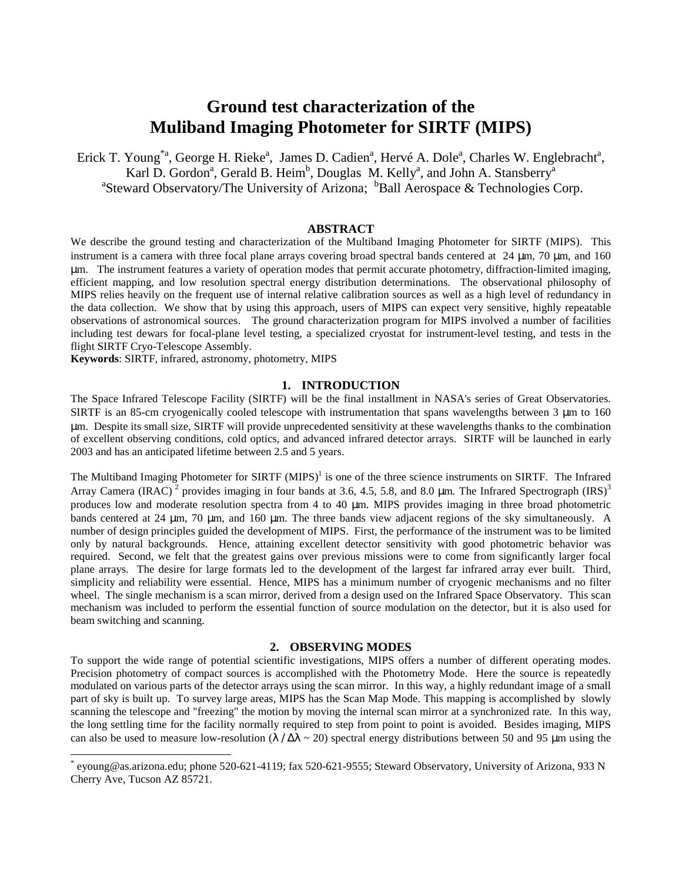# **Ground test characterization of the Muliband Imaging Photometer for SIRTF (MIPS)**

Erick T. Young<sup>\*a</sup>, George H. Rieke<sup>a</sup>, James D. Cadien<sup>a</sup>, Hervé A. Dole<sup>a</sup>, Charles W. Englebracht<sup>a</sup>, Karl D. Gordon<sup>a</sup>, Gerald B. Heim<sup>b</sup>, Douglas M. Kelly<sup>a</sup>, and John A. Stansberry<sup>a</sup> <sup>a</sup>Steward Observatory/The University of Arizona; <sup>b</sup>Ball Aerospace & Technologies Corp.

## **ABSTRACT**

We describe the ground testing and characterization of the Multiband Imaging Photometer for SIRTF (MIPS). This instrument is a camera with three focal plane arrays covering broad spectral bands centered at 24  $\mu$ m, 70  $\mu$ m, and 160 µm. The instrument features a variety of operation modes that permit accurate photometry, diffraction-limited imaging, efficient mapping, and low resolution spectral energy distribution determinations. The observational philosophy of MIPS relies heavily on the frequent use of internal relative calibration sources as well as a high level of redundancy in the data collection. We show that by using this approach, users of MIPS can expect very sensitive, highly repeatable observations of astronomical sources. The ground characterization program for MIPS involved a number of facilities including test dewars for focal-plane level testing, a specialized cryostat for instrument-level testing, and tests in the flight SIRTF Cryo-Telescope Assembly.

**Keywords**: SIRTF, infrared, astronomy, photometry, MIPS

# **1. INTRODUCTION**

The Space Infrared Telescope Facility (SIRTF) will be the final installment in NASA's series of Great Observatories. SIRTF is an 85-cm cryogenically cooled telescope with instrumentation that spans wavelengths between 3 µm to 160 µm. Despite its small size, SIRTF will provide unprecedented sensitivity at these wavelengths thanks to the combination of excellent observing conditions, cold optics, and advanced infrared detector arrays. SIRTF will be launched in early 2003 and has an anticipated lifetime between 2.5 and 5 years.

The Multiband Imaging Photometer for  $SIRTF (MIPS)^1$  is one of the three science instruments on  $SIRTF$ . The Infrared Array Camera (IRAC)<sup>2</sup> provides imaging in four bands at 3.6, 4.5, 5.8, and 8.0 µm. The Infrared Spectrograph (IRS)<sup>3</sup> produces low and moderate resolution spectra from 4 to 40 µm. MIPS provides imaging in three broad photometric bands centered at 24 µm, 70 µm, and 160 µm. The three bands view adjacent regions of the sky simultaneously. A number of design principles guided the development of MIPS. First, the performance of the instrument was to be limited only by natural backgrounds. Hence, attaining excellent detector sensitivity with good photometric behavior was required. Second, we felt that the greatest gains over previous missions were to come from significantly larger focal plane arrays. The desire for large formats led to the development of the largest far infrared array ever built. Third, simplicity and reliability were essential. Hence, MIPS has a minimum number of cryogenic mechanisms and no filter wheel. The single mechanism is a scan mirror, derived from a design used on the Infrared Space Observatory. This scan mechanism was included to perform the essential function of source modulation on the detector, but it is also used for beam switching and scanning.

#### **2. OBSERVING MODES**

To support the wide range of potential scientific investigations, MIPS offers a number of different operating modes. Precision photometry of compact sources is accomplished with the Photometry Mode. Here the source is repeatedly modulated on various parts of the detector arrays using the scan mirror. In this way, a highly redundant image of a small part of sky is built up. To survey large areas, MIPS has the Scan Map Mode. This mapping is accomplished by slowly scanning the telescope and "freezing" the motion by moving the internal scan mirror at a synchronized rate. In this way, the long settling time for the facility normally required to step from point to point is avoided. Besides imaging, MIPS can also be used to measure low-resolution ( $\lambda / \Delta \lambda \sim 20$ ) spectral energy distributions between 50 and 95 µm using the

eyoung@as.arizona.edu; phone 520-621-4119; fax 520-621-9555; Steward Observatory, University of Arizona, 933 N Cherry Ave, Tucson AZ 85721.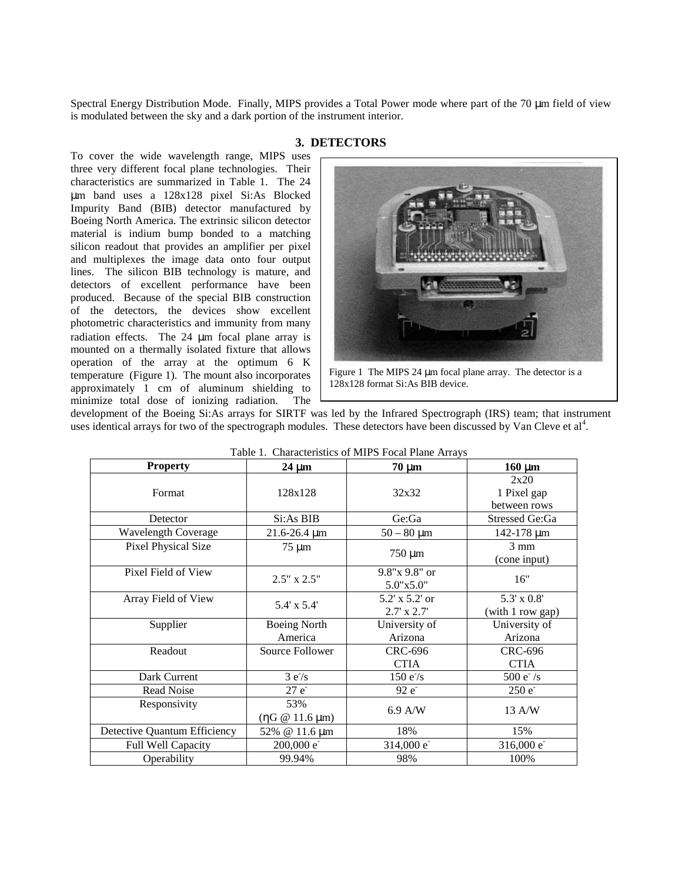Spectral Energy Distribution Mode. Finally, MIPS provides a Total Power mode where part of the 70  $\mu$ m field of view is modulated between the sky and a dark portion of the instrument interior.

### **3. DETECTORS**

To cover the wide wavelength range, MIPS uses three very different focal plane technologies. Their characteristics are summarized in Table 1. The 24 µm band uses a 128x128 pixel Si:As Blocked Impurity Band (BIB) detector manufactured by Boeing North America. The extrinsic silicon detector material is indium bump bonded to a matching silicon readout that provides an amplifier per pixel and multiplexes the image data onto four output lines. The silicon BIB technology is mature, and detectors of excellent performance have been produced. Because of the special BIB construction of the detectors, the devices show excellent photometric characteristics and immunity from many radiation effects. The 24 µm focal plane array is mounted on a thermally isolated fixture that allows operation of the array at the optimum 6 K temperature (Figure 1). The mount also incorporates approximately 1 cm of aluminum shielding to minimize total dose of ionizing radiation. The



Figure 1 The MIPS 24 µm focal plane array. The detector is a 128x128 format Si:As BIB device.

development of the Boeing Si:As arrays for SIRTF was led by the Infrared Spectrograph (IRS) team; that instrument uses identical arrays for two of the spectrograph modules. These detectors have been discussed by Van Cleve et al<sup>4</sup>.

| <b>Property</b>              | $24 \mu m$                         | $70 \mu m$                        | $160 \mu m$                            |
|------------------------------|------------------------------------|-----------------------------------|----------------------------------------|
| Format                       | 128x128                            | 32x32                             | 2x20<br>1 Pixel gap<br>between rows    |
| Detector                     | Si:As BIB                          | Ge:Ga                             | Stressed Ge:Ga                         |
| <b>Wavelength Coverage</b>   | 21.6-26.4 µm                       | $50 - 80 \mu m$                   | 142-178 µm                             |
| Pixel Physical Size          | $75 \mu m$                         | 750 µm                            | $3 \text{ mm}$<br>(cone input)         |
| Pixel Field of View          | $2.5"$ x $2.5"$                    | 9.8"x 9.8" or<br>5.0"x5.0"        | 16"                                    |
| Array Field of View          | 5.4' x 5.4'                        | 5.2' x 5.2' or<br>$2.7'$ x $2.7'$ | $5.3' \times 0.8'$<br>(with 1 row gap) |
| Supplier                     | <b>Boeing North</b>                | University of                     | University of                          |
|                              | America                            | Arizona                           | Arizona                                |
| Readout                      | Source Follower                    | <b>CRC-696</b><br><b>CTIA</b>     | <b>CRC-696</b><br><b>CTIA</b>          |
| Dark Current                 | $3 e^{-}/s$                        | 150 e/s                           | $500 e^{-}/s$                          |
| Read Noise                   | $27 e^-$                           | $92 e^-$                          | $250 e^-$                              |
| Responsivity                 | 53%<br>$(\eta G \ @ 11.6 \ \mu m)$ | $6.9$ A/W                         | 13 A/W                                 |
| Detective Quantum Efficiency | 52% @ 11.6 µm                      | 18%                               | 15%                                    |
| Full Well Capacity           | 200,000 e                          | 314,000 e <sup>-</sup>            | 316,000 e                              |
| Operability                  | 99.94%                             | 98%                               | 100%                                   |

Table 1. Characteristics of MIPS Focal Plane Arrays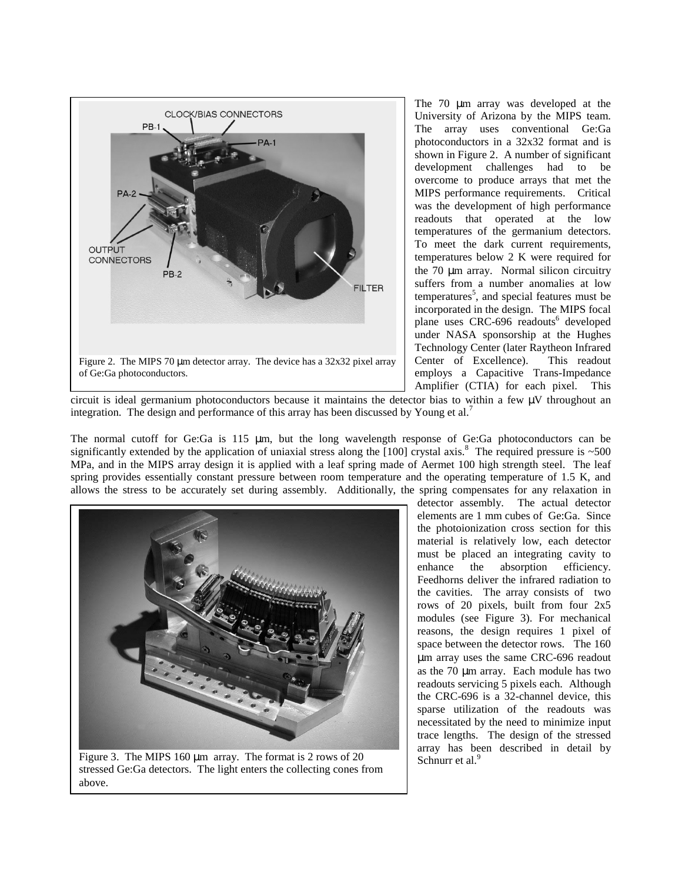

The 70  $\mu$ m array was developed at the University of Arizona by the MIPS team. The array uses conventional Ge:Ga photoconductors in a 32x32 format and is shown in Figure 2. A number of significant development challenges had to be overcome to produce arrays that met the MIPS performance requirements. Critical was the development of high performance readouts that operated at the low temperatures of the germanium detectors. To meet the dark current requirements, temperatures below 2 K were required for the 70 µm array. Normal silicon circuitry suffers from a number anomalies at low temperatures<sup>5</sup>, and special features must be incorporated in the design. The MIPS focal plane uses CRC-696 readouts<sup>6</sup> developed under NASA sponsorship at the Hughes Technology Center (later Raytheon Infrared Center of Excellence). This readout employs a Capacitive Trans-Impedance Amplifier (CTIA) for each pixel. This

circuit is ideal germanium photoconductors because it maintains the detector bias to within a few µV throughout an integration. The design and performance of this array has been discussed by Young et al.<sup>7</sup>

The normal cutoff for Ge:Ga is 115 µm, but the long wavelength response of Ge:Ga photoconductors can be significantly extended by the application of uniaxial stress along the  $[100]$  crystal axis.<sup>8</sup> The required pressure is ~500 MPa, and in the MIPS array design it is applied with a leaf spring made of Aermet 100 high strength steel. The leaf spring provides essentially constant pressure between room temperature and the operating temperature of 1.5 K, and allows the stress to be accurately set during assembly. Additionally, the spring compensates for any relaxation in



Figure 3. The MIPS 160 µm array. The format is 2 rows of 20 stressed Ge:Ga detectors. The light enters the collecting cones from above.

detector assembly. The actual detector elements are 1 mm cubes of Ge:Ga. Since the photoionization cross section for this material is relatively low, each detector must be placed an integrating cavity to enhance the absorption efficiency. Feedhorns deliver the infrared radiation to the cavities. The array consists of two rows of 20 pixels, built from four 2x5 modules (see Figure 3). For mechanical reasons, the design requires 1 pixel of space between the detector rows. The 160 µm array uses the same CRC-696 readout as the 70 µm array. Each module has two readouts servicing 5 pixels each. Although the CRC-696 is a 32-channel device, this sparse utilization of the readouts was necessitated by the need to minimize input trace lengths. The design of the stressed array has been described in detail by Schnurr et al.<sup>9</sup>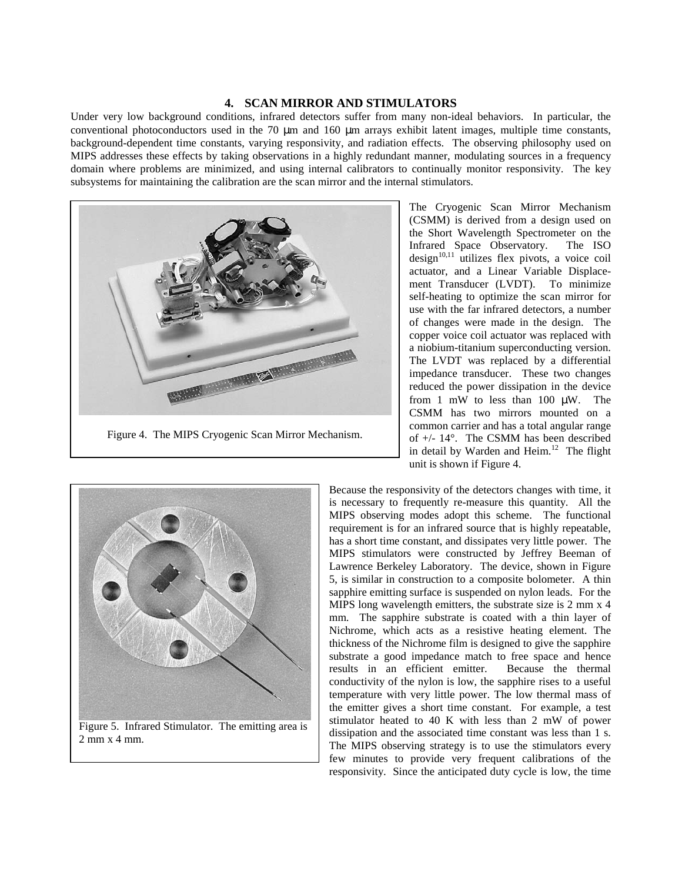# **4. SCAN MIRROR AND STIMULATORS**

Under very low background conditions, infrared detectors suffer from many non-ideal behaviors. In particular, the conventional photoconductors used in the 70 µm and 160 µm arrays exhibit latent images, multiple time constants, background-dependent time constants, varying responsivity, and radiation effects. The observing philosophy used on MIPS addresses these effects by taking observations in a highly redundant manner, modulating sources in a frequency domain where problems are minimized, and using internal calibrators to continually monitor responsivity. The key subsystems for maintaining the calibration are the scan mirror and the internal stimulators.



Figure 4. The MIPS Cryogenic Scan Mirror Mechanism.



2 mm x 4 mm.

The Cryogenic Scan Mirror Mechanism (CSMM) is derived from a design used on the Short Wavelength Spectrometer on the Infrared Space Observatory. The ISO  $\text{design}^{10,11}$  utilizes flex pivots, a voice coil actuator, and a Linear Variable Displacement Transducer (LVDT). To minimize self-heating to optimize the scan mirror for use with the far infrared detectors, a number of changes were made in the design. The copper voice coil actuator was replaced with a niobium-titanium superconducting version. The LVDT was replaced by a differential impedance transducer. These two changes reduced the power dissipation in the device from 1 mW to less than 100 µW. The CSMM has two mirrors mounted on a common carrier and has a total angular range of +/- 14°. The CSMM has been described in detail by Warden and Heim. $^{12}$  The flight unit is shown if Figure 4.

Because the responsivity of the detectors changes with time, it is necessary to frequently re-measure this quantity. All the MIPS observing modes adopt this scheme. The functional requirement is for an infrared source that is highly repeatable, has a short time constant, and dissipates very little power. The MIPS stimulators were constructed by Jeffrey Beeman of Lawrence Berkeley Laboratory. The device, shown in Figure 5, is similar in construction to a composite bolometer. A thin sapphire emitting surface is suspended on nylon leads. For the MIPS long wavelength emitters, the substrate size is 2 mm x 4 mm. The sapphire substrate is coated with a thin layer of Nichrome, which acts as a resistive heating element. The thickness of the Nichrome film is designed to give the sapphire substrate a good impedance match to free space and hence results in an efficient emitter. Because the thermal conductivity of the nylon is low, the sapphire rises to a useful temperature with very little power. The low thermal mass of the emitter gives a short time constant. For example, a test stimulator heated to 40 K with less than 2 mW of power dissipation and the associated time constant was less than 1 s. The MIPS observing strategy is to use the stimulators every few minutes to provide very frequent calibrations of the responsivity. Since the anticipated duty cycle is low, the time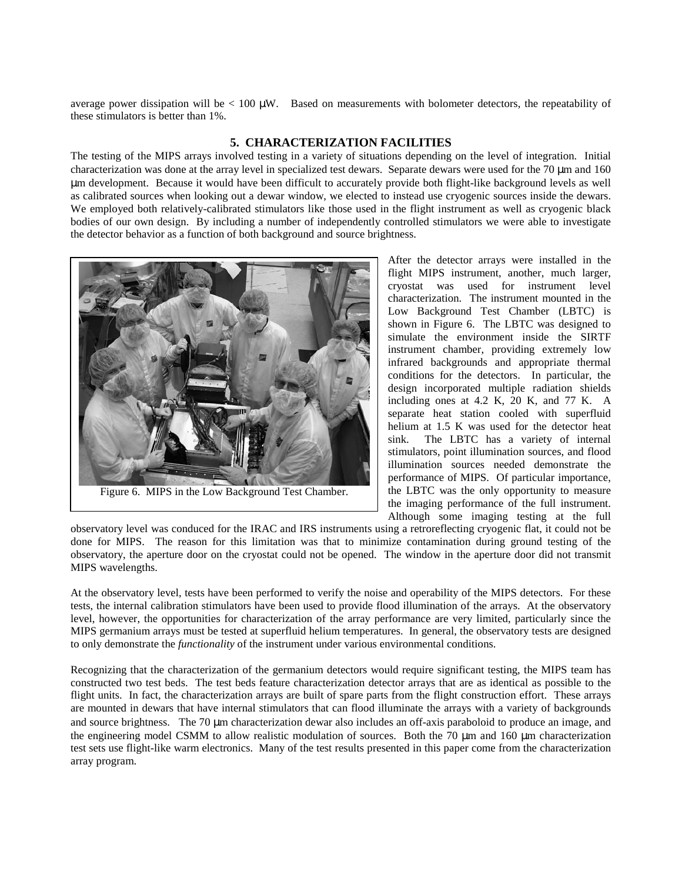average power dissipation will be  $< 100 \mu W$ . Based on measurements with bolometer detectors, the repeatability of these stimulators is better than 1%.

## **5. CHARACTERIZATION FACILITIES**

The testing of the MIPS arrays involved testing in a variety of situations depending on the level of integration. Initial characterization was done at the array level in specialized test dewars. Separate dewars were used for the 70  $\mu$ m and 160 µm development. Because it would have been difficult to accurately provide both flight-like background levels as well as calibrated sources when looking out a dewar window, we elected to instead use cryogenic sources inside the dewars. We employed both relatively-calibrated stimulators like those used in the flight instrument as well as cryogenic black bodies of our own design. By including a number of independently controlled stimulators we were able to investigate the detector behavior as a function of both background and source brightness.



Figure 6. MIPS in the Low Background Test Chamber.

After the detector arrays were installed in the flight MIPS instrument, another, much larger, cryostat was used for instrument level characterization. The instrument mounted in the Low Background Test Chamber (LBTC) is shown in Figure 6. The LBTC was designed to simulate the environment inside the SIRTF instrument chamber, providing extremely low infrared backgrounds and appropriate thermal conditions for the detectors. In particular, the design incorporated multiple radiation shields including ones at 4.2 K, 20 K, and 77 K. A separate heat station cooled with superfluid helium at 1.5 K was used for the detector heat sink. The LBTC has a variety of internal stimulators, point illumination sources, and flood illumination sources needed demonstrate the performance of MIPS. Of particular importance, the LBTC was the only opportunity to measure the imaging performance of the full instrument. Although some imaging testing at the full

observatory level was conduced for the IRAC and IRS instruments using a retroreflecting cryogenic flat, it could not be done for MIPS. The reason for this limitation was that to minimize contamination during ground testing of the observatory, the aperture door on the cryostat could not be opened. The window in the aperture door did not transmit MIPS wavelengths.

At the observatory level, tests have been performed to verify the noise and operability of the MIPS detectors. For these tests, the internal calibration stimulators have been used to provide flood illumination of the arrays. At the observatory level, however, the opportunities for characterization of the array performance are very limited, particularly since the MIPS germanium arrays must be tested at superfluid helium temperatures. In general, the observatory tests are designed to only demonstrate the *functionality* of the instrument under various environmental conditions.

Recognizing that the characterization of the germanium detectors would require significant testing, the MIPS team has constructed two test beds. The test beds feature characterization detector arrays that are as identical as possible to the flight units. In fact, the characterization arrays are built of spare parts from the flight construction effort. These arrays are mounted in dewars that have internal stimulators that can flood illuminate the arrays with a variety of backgrounds and source brightness. The 70 µm characterization dewar also includes an off-axis paraboloid to produce an image, and the engineering model CSMM to allow realistic modulation of sources. Both the 70  $\mu$ m and 160  $\mu$ m characterization test sets use flight-like warm electronics. Many of the test results presented in this paper come from the characterization array program.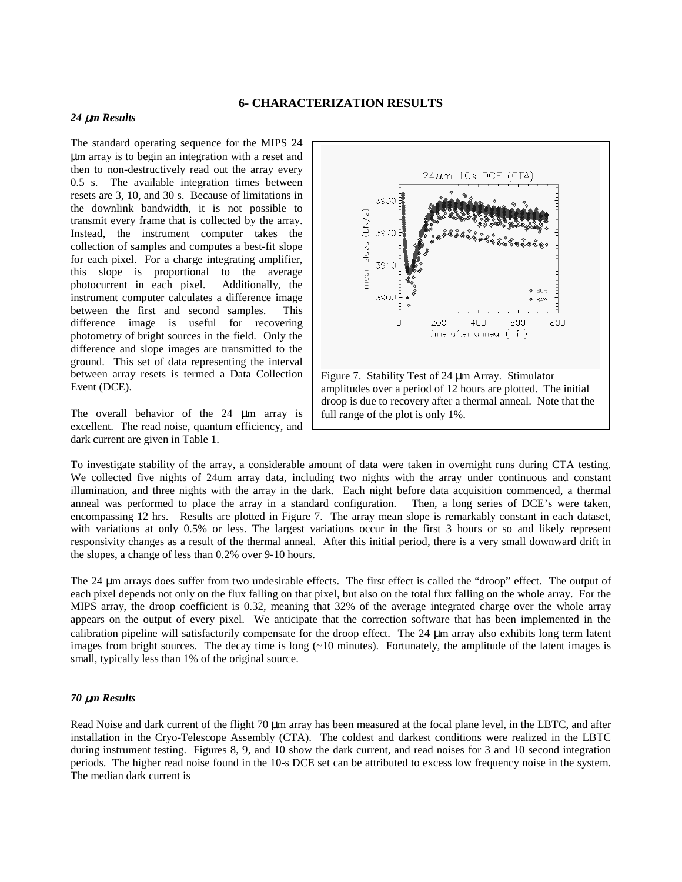# **6- CHARACTERIZATION RESULTS**

### *24* µ*m Results*

The standard operating sequence for the MIPS 24 µm array is to begin an integration with a reset and then to non-destructively read out the array every 0.5 s. The available integration times between resets are 3, 10, and 30 s. Because of limitations in the downlink bandwidth, it is not possible to transmit every frame that is collected by the array. Instead, the instrument computer takes the collection of samples and computes a best-fit slope for each pixel. For a charge integrating amplifier, this slope is proportional to the average photocurrent in each pixel. Additionally, the instrument computer calculates a difference image between the first and second samples. This difference image is useful for recovering photometry of bright sources in the field. Only the difference and slope images are transmitted to the ground. This set of data representing the interval between array resets is termed a Data Collection Event (DCE).

The overall behavior of the 24  $\mu$ m array is excellent. The read noise, quantum efficiency, and dark current are given in Table 1.



To investigate stability of the array, a considerable amount of data were taken in overnight runs during CTA testing. We collected five nights of 24um array data, including two nights with the array under continuous and constant illumination, and three nights with the array in the dark. Each night before data acquisition commenced, a thermal anneal was performed to place the array in a standard configuration. Then, a long series of DCE's were taken, encompassing 12 hrs. Results are plotted in Figure 7. The array mean slope is remarkably constant in each dataset, with variations at only 0.5% or less. The largest variations occur in the first 3 hours or so and likely represent responsivity changes as a result of the thermal anneal. After this initial period, there is a very small downward drift in the slopes, a change of less than 0.2% over 9-10 hours.

The 24 µm arrays does suffer from two undesirable effects. The first effect is called the "droop" effect. The output of each pixel depends not only on the flux falling on that pixel, but also on the total flux falling on the whole array. For the MIPS array, the droop coefficient is 0.32, meaning that 32% of the average integrated charge over the whole array appears on the output of every pixel. We anticipate that the correction software that has been implemented in the calibration pipeline will satisfactorily compensate for the droop effect. The 24 µm array also exhibits long term latent images from bright sources. The decay time is long  $(\sim 10$  minutes). Fortunately, the amplitude of the latent images is small, typically less than 1% of the original source.

## *70* µ*m Results*

Read Noise and dark current of the flight 70 µm array has been measured at the focal plane level, in the LBTC, and after installation in the Cryo-Telescope Assembly (CTA). The coldest and darkest conditions were realized in the LBTC during instrument testing. Figures 8, 9, and 10 show the dark current, and read noises for 3 and 10 second integration periods. The higher read noise found in the 10-s DCE set can be attributed to excess low frequency noise in the system. The median dark current is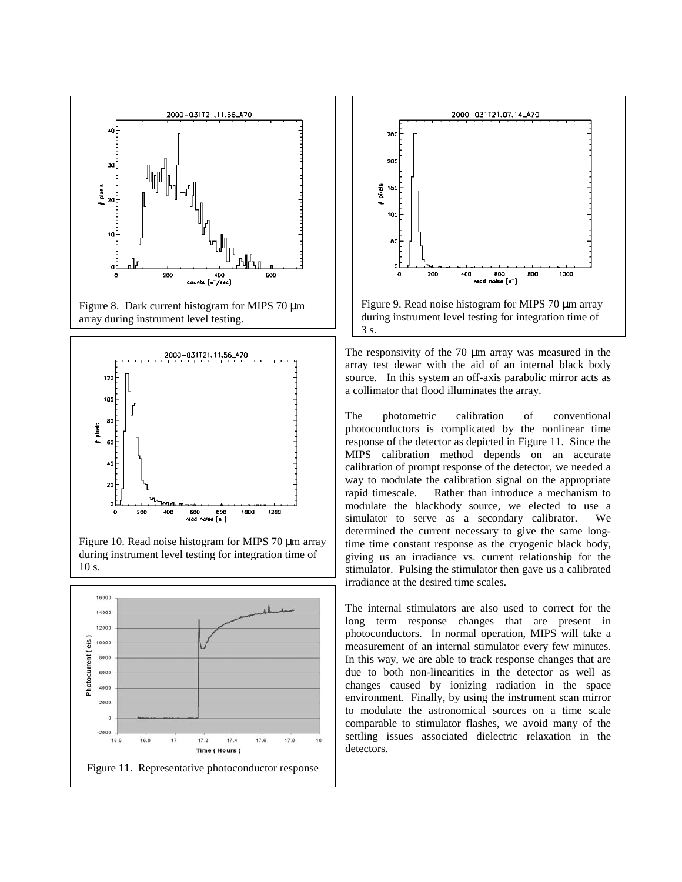





Figure 10. Read noise histogram for MIPS 70 µm array during instrument level testing for integration time of 10 s.





during instrument level testing for integration time of 3 s.

The responsivity of the 70  $\mu$ m array was measured in the array test dewar with the aid of an internal black body source. In this system an off-axis parabolic mirror acts as a collimator that flood illuminates the array.

The photometric calibration of conventional photoconductors is complicated by the nonlinear time response of the detector as depicted in Figure 11. Since the MIPS calibration method depends on an accurate calibration of prompt response of the detector, we needed a way to modulate the calibration signal on the appropriate rapid timescale. Rather than introduce a mechanism to modulate the blackbody source, we elected to use a simulator to serve as a secondary calibrator. We determined the current necessary to give the same longtime time constant response as the cryogenic black body, giving us an irradiance vs. current relationship for the stimulator. Pulsing the stimulator then gave us a calibrated irradiance at the desired time scales.

The internal stimulators are also used to correct for the long term response changes that are present in photoconductors. In normal operation, MIPS will take a measurement of an internal stimulator every few minutes. In this way, we are able to track response changes that are due to both non-linearities in the detector as well as changes caused by ionizing radiation in the space environment. Finally, by using the instrument scan mirror to modulate the astronomical sources on a time scale comparable to stimulator flashes, we avoid many of the settling issues associated dielectric relaxation in the detectors.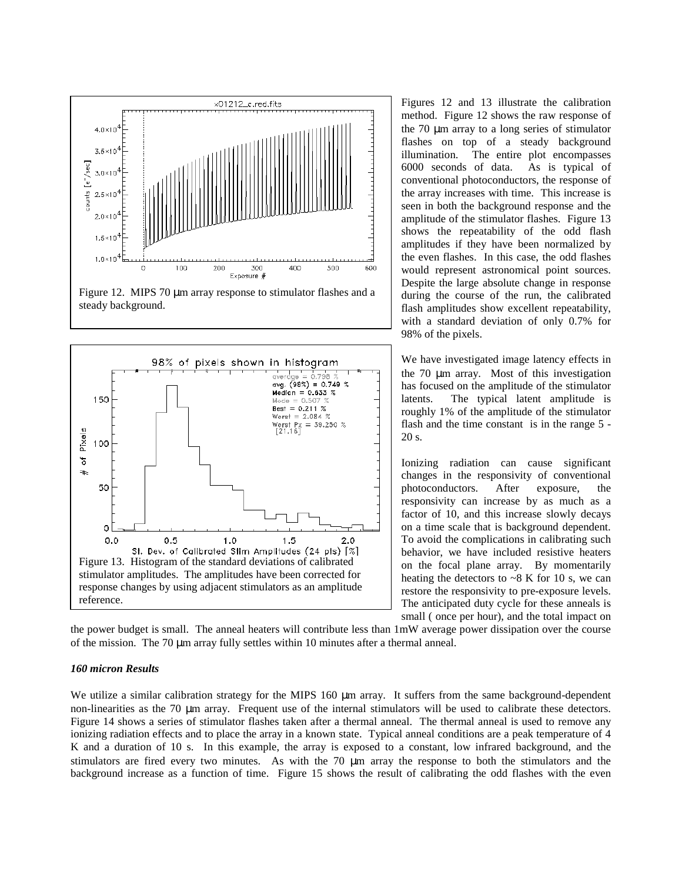



Figures 12 and 13 illustrate the calibration method. Figure 12 shows the raw response of the 70 µm array to a long series of stimulator flashes on top of a steady background illumination. The entire plot encompasses 6000 seconds of data. As is typical of conventional photoconductors, the response of the array increases with time. This increase is seen in both the background response and the amplitude of the stimulator flashes. Figure 13 shows the repeatability of the odd flash amplitudes if they have been normalized by the even flashes. In this case, the odd flashes would represent astronomical point sources. Despite the large absolute change in response during the course of the run, the calibrated flash amplitudes show excellent repeatability, with a standard deviation of only 0.7% for 98% of the pixels.

We have investigated image latency effects in the 70 µm array. Most of this investigation has focused on the amplitude of the stimulator latents. The typical latent amplitude is roughly 1% of the amplitude of the stimulator flash and the time constant is in the range 5 - 20 s.

Ionizing radiation can cause significant changes in the responsivity of conventional photoconductors. After exposure, the responsivity can increase by as much as a factor of 10, and this increase slowly decays on a time scale that is background dependent. To avoid the complications in calibrating such behavior, we have included resistive heaters on the focal plane array. By momentarily heating the detectors to  $\sim8$  K for 10 s, we can restore the responsivity to pre-exposure levels. The anticipated duty cycle for these anneals is small ( once per hour), and the total impact on

the power budget is small. The anneal heaters will contribute less than 1mW average power dissipation over the course of the mission. The 70 µm array fully settles within 10 minutes after a thermal anneal.

## *160 micron Results*

We utilize a similar calibration strategy for the MIPS 160 µm array. It suffers from the same background-dependent non-linearities as the  $70 \mu m$  array. Frequent use of the internal stimulators will be used to calibrate these detectors. Figure 14 shows a series of stimulator flashes taken after a thermal anneal. The thermal anneal is used to remove any ionizing radiation effects and to place the array in a known state. Typical anneal conditions are a peak temperature of 4 K and a duration of 10 s. In this example, the array is exposed to a constant, low infrared background, and the stimulators are fired every two minutes. As with the 70 µm array the response to both the stimulators and the background increase as a function of time. Figure 15 shows the result of calibrating the odd flashes with the even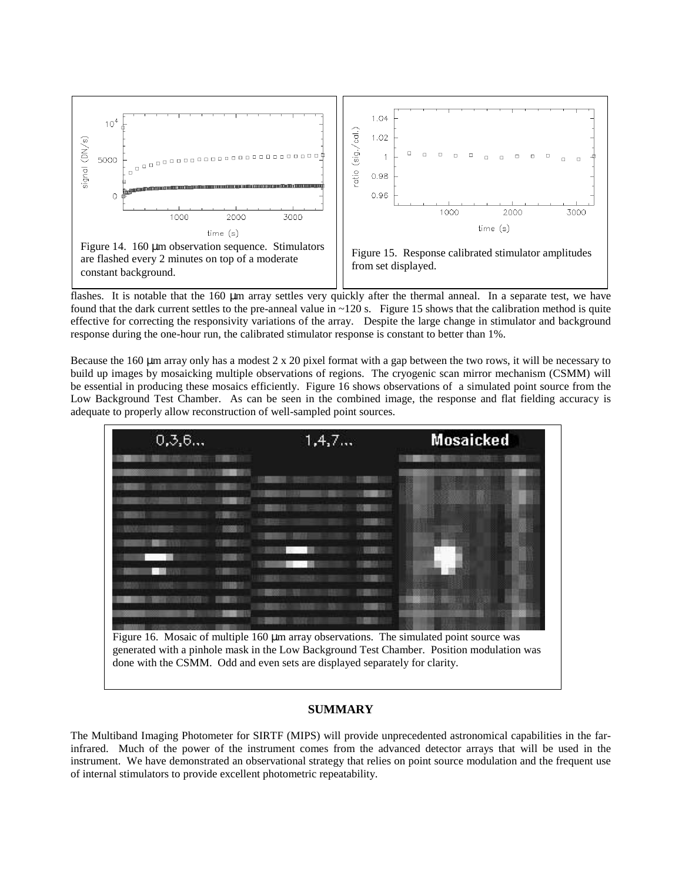

flashes. It is notable that the 160 µm array settles very quickly after the thermal anneal. In a separate test, we have found that the dark current settles to the pre-anneal value in  $\sim$ 120 s. Figure 15 shows that the calibration method is quite effective for correcting the responsivity variations of the array. Despite the large change in stimulator and background response during the one-hour run, the calibrated stimulator response is constant to better than 1%.

Because the 160 µm array only has a modest 2 x 20 pixel format with a gap between the two rows, it will be necessary to build up images by mosaicking multiple observations of regions. The cryogenic scan mirror mechanism (CSMM) will be essential in producing these mosaics efficiently. Figure 16 shows observations of a simulated point source from the Low Background Test Chamber. As can be seen in the combined image, the response and flat fielding accuracy is adequate to properly allow reconstruction of well-sampled point sources.



# **SUMMARY**

The Multiband Imaging Photometer for SIRTF (MIPS) will provide unprecedented astronomical capabilities in the farinfrared. Much of the power of the instrument comes from the advanced detector arrays that will be used in the instrument. We have demonstrated an observational strategy that relies on point source modulation and the frequent use of internal stimulators to provide excellent photometric repeatability.